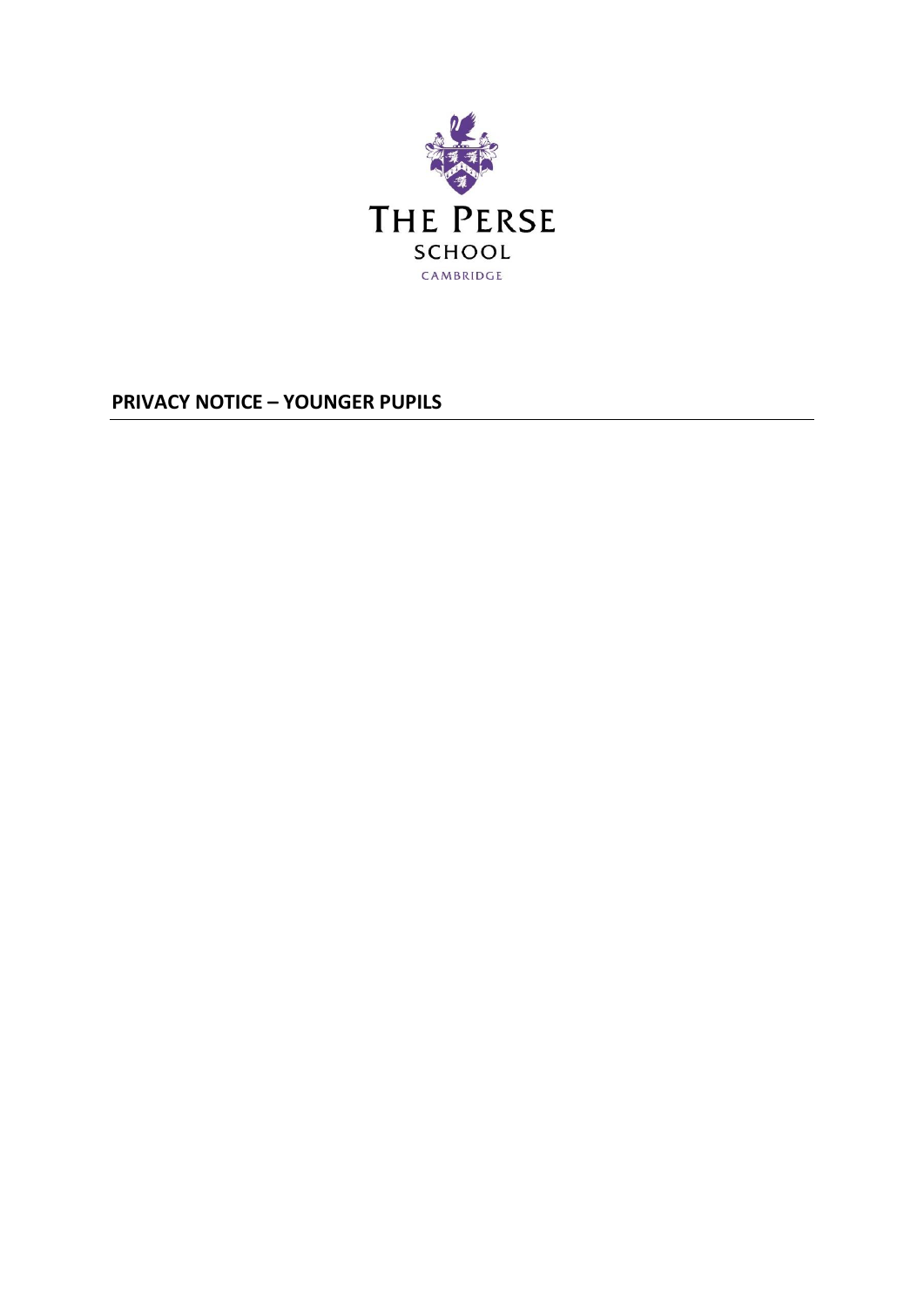

**PRIVACY NOTICE – YOUNGER PUPILS**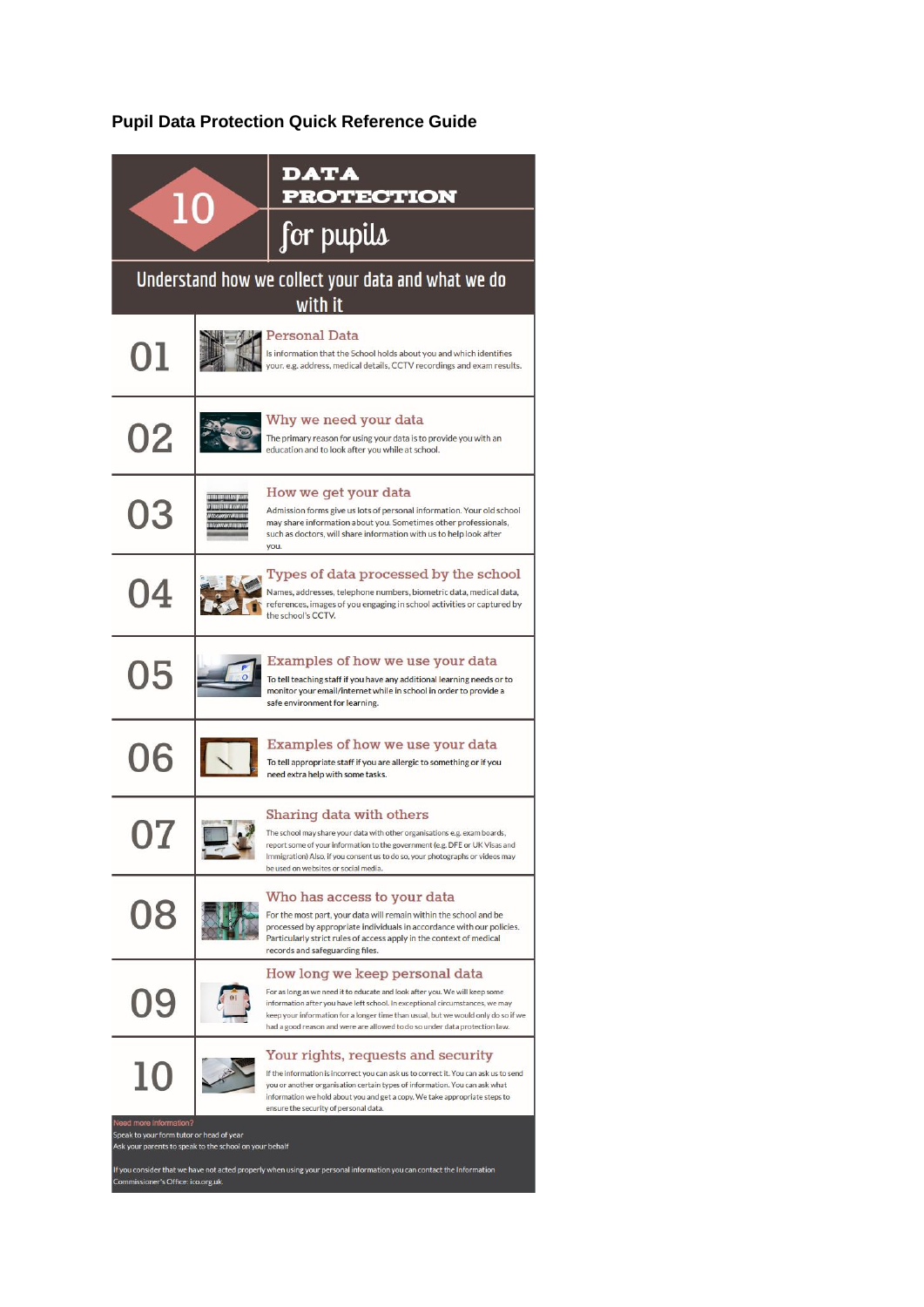# **Pupil Data Protection Quick Reference Guide**

| 10                                                                                                                                                                                                                                                                                         |                                                   | <b>DATA</b><br><b>PROTECTION</b>                                                                                                                                                                                                                                                                                                                                |
|--------------------------------------------------------------------------------------------------------------------------------------------------------------------------------------------------------------------------------------------------------------------------------------------|---------------------------------------------------|-----------------------------------------------------------------------------------------------------------------------------------------------------------------------------------------------------------------------------------------------------------------------------------------------------------------------------------------------------------------|
|                                                                                                                                                                                                                                                                                            |                                                   | for pupils                                                                                                                                                                                                                                                                                                                                                      |
| Understand how we collect your data and what we do<br>with it                                                                                                                                                                                                                              |                                                   |                                                                                                                                                                                                                                                                                                                                                                 |
| 01                                                                                                                                                                                                                                                                                         |                                                   | <b>Personal Data</b><br>Is information that the School holds about you and which identifies<br>your. e.g. address, medical details, CCTV recordings and exam results.                                                                                                                                                                                           |
| 02                                                                                                                                                                                                                                                                                         |                                                   | Why we need your data<br>The primary reason for using your data is to provide you with an<br>education and to look after you while at school.                                                                                                                                                                                                                   |
| 03                                                                                                                                                                                                                                                                                         | 1111111111111 <i>1111111</i><br><b>THE REPORT</b> | How we get your data<br>Admission forms give us lots of personal information. Your old school<br>may share information about you. Sometimes other professionals,<br>such as doctors, will share information with us to help look after<br>you.                                                                                                                  |
| 04                                                                                                                                                                                                                                                                                         |                                                   | Types of data processed by the school<br>Names, addresses, telephone numbers, biometric data, medical data,<br>references, images of you engaging in school activities or captured by<br>the school's CCTV.                                                                                                                                                     |
| 05                                                                                                                                                                                                                                                                                         |                                                   | Examples of how we use your data<br>To tell teaching staff if you have any additional learning needs or to<br>monitor your email/internet while in school in order to provide a<br>safe environment for learning.                                                                                                                                               |
| 06                                                                                                                                                                                                                                                                                         |                                                   | Examples of how we use your data<br>To tell appropriate staff if you are allergic to something or if you<br>need extra help with some tasks.                                                                                                                                                                                                                    |
|                                                                                                                                                                                                                                                                                            |                                                   | Sharing data with others<br>The school may share your data with other organisations e.g. exam boards,<br>report some of your information to the government (e.g. DFE or UK Visas and<br>Immigration) Also, if you consent us to do so, your photographs or videos may<br>be used on websites or social media.                                                   |
| 08                                                                                                                                                                                                                                                                                         |                                                   | Who has access to your data<br>For the most part, your data will remain within the school and be<br>processed by appropriate individuals in accordance with our policies.<br>Particularly strict rules of access apply in the context of medical<br>records and safeguarding files.                                                                             |
| 09                                                                                                                                                                                                                                                                                         |                                                   | How long we keep personal data<br>For as long as we need it to educate and look after you. We will keep some<br>information after you have left school. In exceptional circumstances, we may<br>keep your information for a longer time than usual, but we would only do so if we<br>had a good reason and were are allowed to do so under data protection law. |
| 10                                                                                                                                                                                                                                                                                         |                                                   | Your rights, requests and security<br>If the information is incorrect you can ask us to correct it. You can ask us to send<br>you or another organisation certain types of information. You can ask what<br>information we hold about you and get a copy. We take appropriate steps to<br>ensure the security of personal data.                                 |
| Need more information?<br>Speak to your form tutor or head of year<br>Ask your parents to speak to the school on your behalf<br>If you consider that we have not acted properly when using your personal information you can contact the Information<br>Commissioner's Office: ico.org.uk. |                                                   |                                                                                                                                                                                                                                                                                                                                                                 |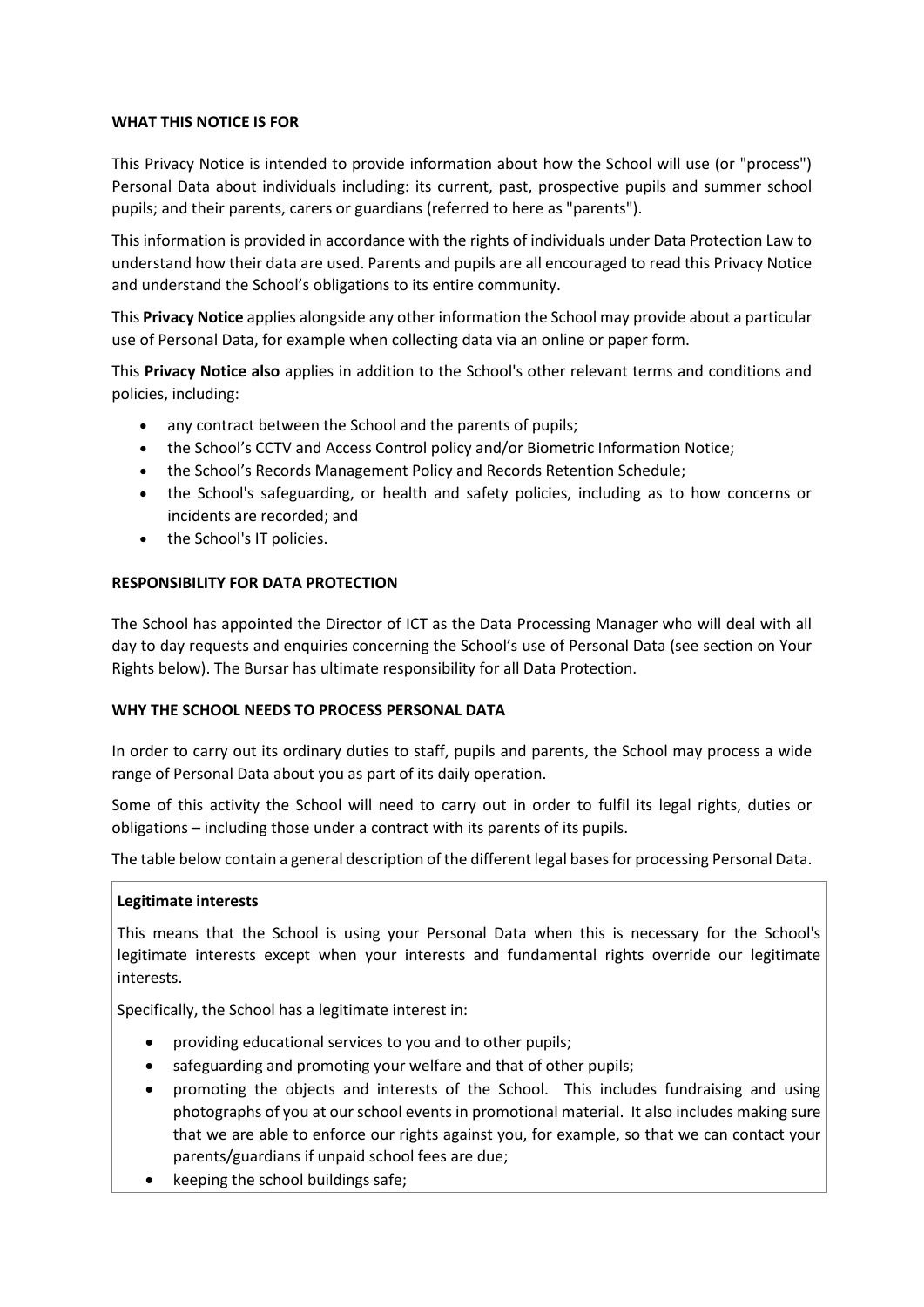### **WHAT THIS NOTICE IS FOR**

This Privacy Notice is intended to provide information about how the School will use (or "process") Personal Data about individuals including: its current, past, prospective pupils and summer school pupils; and their parents, carers or guardians (referred to here as "parents").

This information is provided in accordance with the rights of individuals under Data Protection Law to understand how their data are used. Parents and pupils are all encouraged to read this Privacy Notice and understand the School's obligations to its entire community.

This **Privacy Notice** applies alongside any other information the School may provide about a particular use of Personal Data, for example when collecting data via an online or paper form.

This **Privacy Notice also** applies in addition to the School's other relevant terms and conditions and policies, including:

- any contract between the School and the parents of pupils;
- the School's CCTV and Access Control policy and/or Biometric Information Notice;
- the School's Records Management Policy and Records Retention Schedule;
- the School's safeguarding, or health and safety policies, including as to how concerns or incidents are recorded; and
- the School's IT policies.

### **RESPONSIBILITY FOR DATA PROTECTION**

The School has appointed the Director of ICT as the Data Processing Manager who will deal with all day to day requests and enquiries concerning the School's use of Personal Data (see section on Your Rights below). The Bursar has ultimate responsibility for all Data Protection.

### **WHY THE SCHOOL NEEDS TO PROCESS PERSONAL DATA**

In order to carry out its ordinary duties to staff, pupils and parents, the School may process a wide range of Personal Data about you as part of its daily operation.

Some of this activity the School will need to carry out in order to fulfil its legal rights, duties or obligations – including those under a contract with its parents of its pupils.

The table below contain a general description of the different legal bases for processing Personal Data.

### **Legitimate interests**

This means that the School is using your Personal Data when this is necessary for the School's legitimate interests except when your interests and fundamental rights override our legitimate interests.

Specifically, the School has a legitimate interest in:

- providing educational services to you and to other pupils;
- safeguarding and promoting your welfare and that of other pupils;
- promoting the objects and interests of the School. This includes fundraising and using photographs of you at our school events in promotional material. It also includes making sure that we are able to enforce our rights against you, for example, so that we can contact your parents/guardians if unpaid school fees are due;
- keeping the school buildings safe;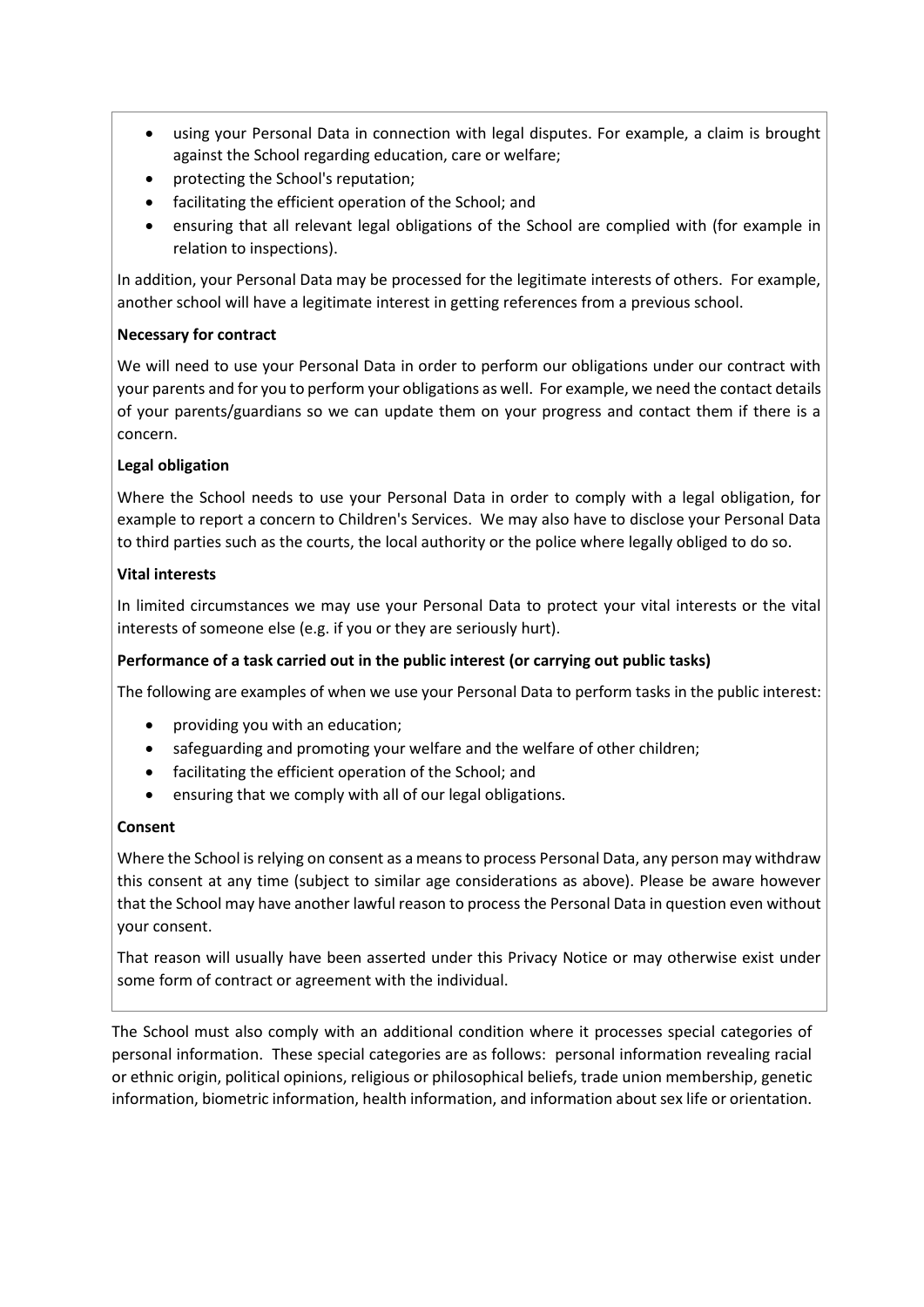- using your Personal Data in connection with legal disputes. For example, a claim is brought against the School regarding education, care or welfare;
- protecting the School's reputation;
- facilitating the efficient operation of the School; and
- ensuring that all relevant legal obligations of the School are complied with (for example in relation to inspections).

In addition, your Personal Data may be processed for the legitimate interests of others. For example, another school will have a legitimate interest in getting references from a previous school.

# **Necessary for contract**

We will need to use your Personal Data in order to perform our obligations under our contract with your parents and for you to perform your obligations as well. For example, we need the contact details of your parents/guardians so we can update them on your progress and contact them if there is a concern.

# **Legal obligation**

Where the School needs to use your Personal Data in order to comply with a legal obligation, for example to report a concern to Children's Services. We may also have to disclose your Personal Data to third parties such as the courts, the local authority or the police where legally obliged to do so.

# **Vital interests**

In limited circumstances we may use your Personal Data to protect your vital interests or the vital interests of someone else (e.g. if you or they are seriously hurt).

# **Performance of a task carried out in the public interest (or carrying out public tasks)**

The following are examples of when we use your Personal Data to perform tasks in the public interest:

- providing you with an education;
- safeguarding and promoting your welfare and the welfare of other children;
- facilitating the efficient operation of the School; and
- ensuring that we comply with all of our legal obligations.

# **Consent**

Where the School is relying on consent as a means to process Personal Data, any person may withdraw this consent at any time (subject to similar age considerations as above). Please be aware however that the School may have another lawful reason to process the Personal Data in question even without your consent.

That reason will usually have been asserted under this Privacy Notice or may otherwise exist under some form of contract or agreement with the individual.

The School must also comply with an additional condition where it processes special categories of personal information. These special categories are as follows: personal information revealing racial or ethnic origin, political opinions, religious or philosophical beliefs, trade union membership, genetic information, biometric information, health information, and information about sex life or orientation.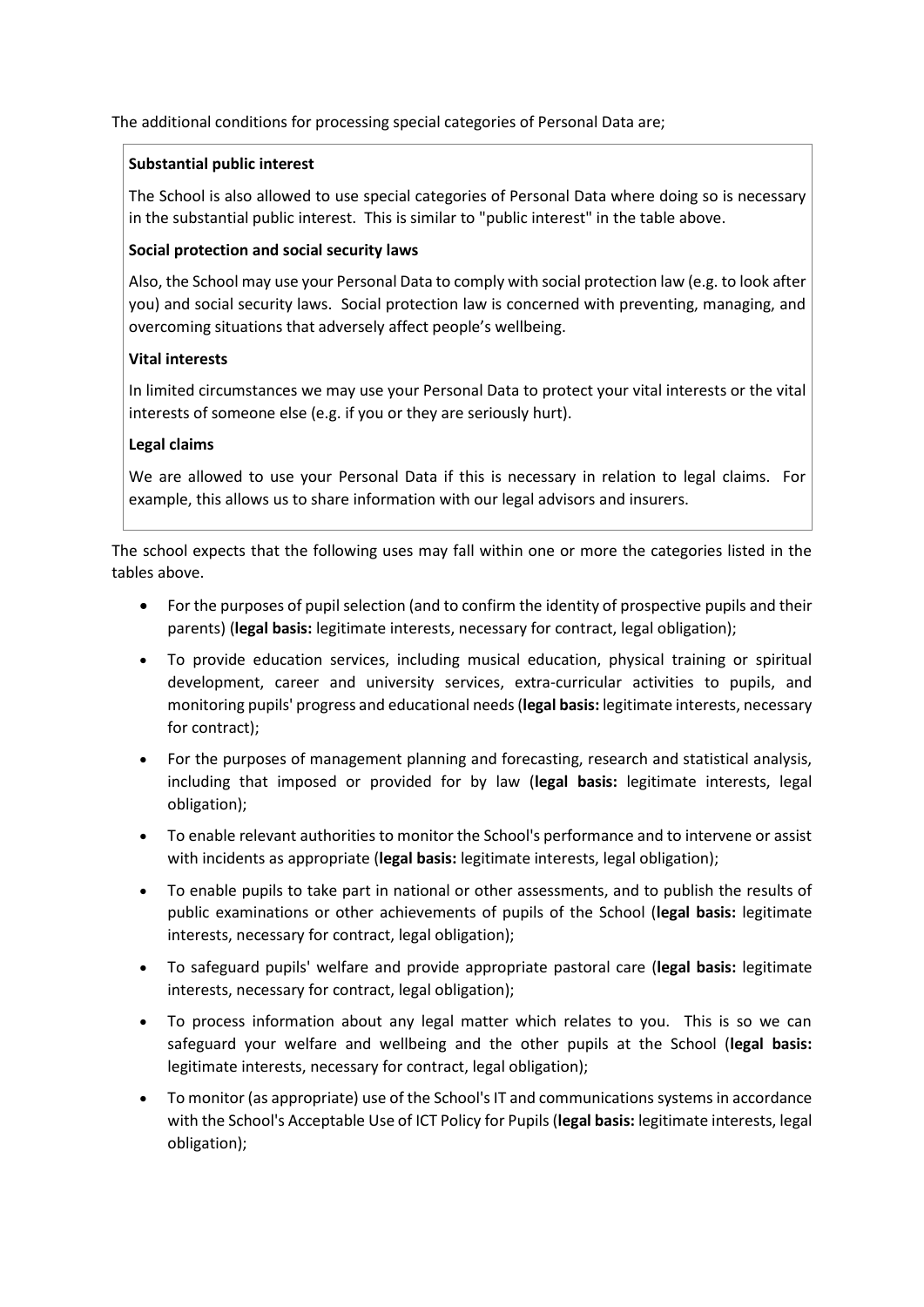The additional conditions for processing special categories of Personal Data are;

### **Substantial public interest**

The School is also allowed to use special categories of Personal Data where doing so is necessary in the substantial public interest. This is similar to "public interest" in the table above.

# **Social protection and social security laws**

Also, the School may use your Personal Data to comply with social protection law (e.g. to look after you) and social security laws. Social protection law is concerned with preventing, managing, and overcoming situations that adversely affect people's wellbeing.

# **Vital interests**

In limited circumstances we may use your Personal Data to protect your vital interests or the vital interests of someone else (e.g. if you or they are seriously hurt).

# **Legal claims**

We are allowed to use your Personal Data if this is necessary in relation to legal claims. For example, this allows us to share information with our legal advisors and insurers.

The school expects that the following uses may fall within one or more the categories listed in the tables above.

- For the purposes of pupil selection (and to confirm the identity of prospective pupils and their parents) (**legal basis:** legitimate interests, necessary for contract, legal obligation);
- To provide education services, including musical education, physical training or spiritual development, career and university services, extra-curricular activities to pupils, and monitoring pupils' progress and educational needs (**legal basis:** legitimate interests, necessary for contract);
- For the purposes of management planning and forecasting, research and statistical analysis, including that imposed or provided for by law (**legal basis:** legitimate interests, legal obligation);
- To enable relevant authorities to monitor the School's performance and to intervene or assist with incidents as appropriate (**legal basis:** legitimate interests, legal obligation);
- To enable pupils to take part in national or other assessments, and to publish the results of public examinations or other achievements of pupils of the School (**legal basis:** legitimate interests, necessary for contract, legal obligation);
- To safeguard pupils' welfare and provide appropriate pastoral care (**legal basis:** legitimate interests, necessary for contract, legal obligation);
- To process information about any legal matter which relates to you. This is so we can safeguard your welfare and wellbeing and the other pupils at the School (**legal basis:** legitimate interests, necessary for contract, legal obligation);
- To monitor (as appropriate) use of the School's IT and communications systems in accordance with the School's Acceptable Use of ICT Policy for Pupils (**legal basis:** legitimate interests, legal obligation);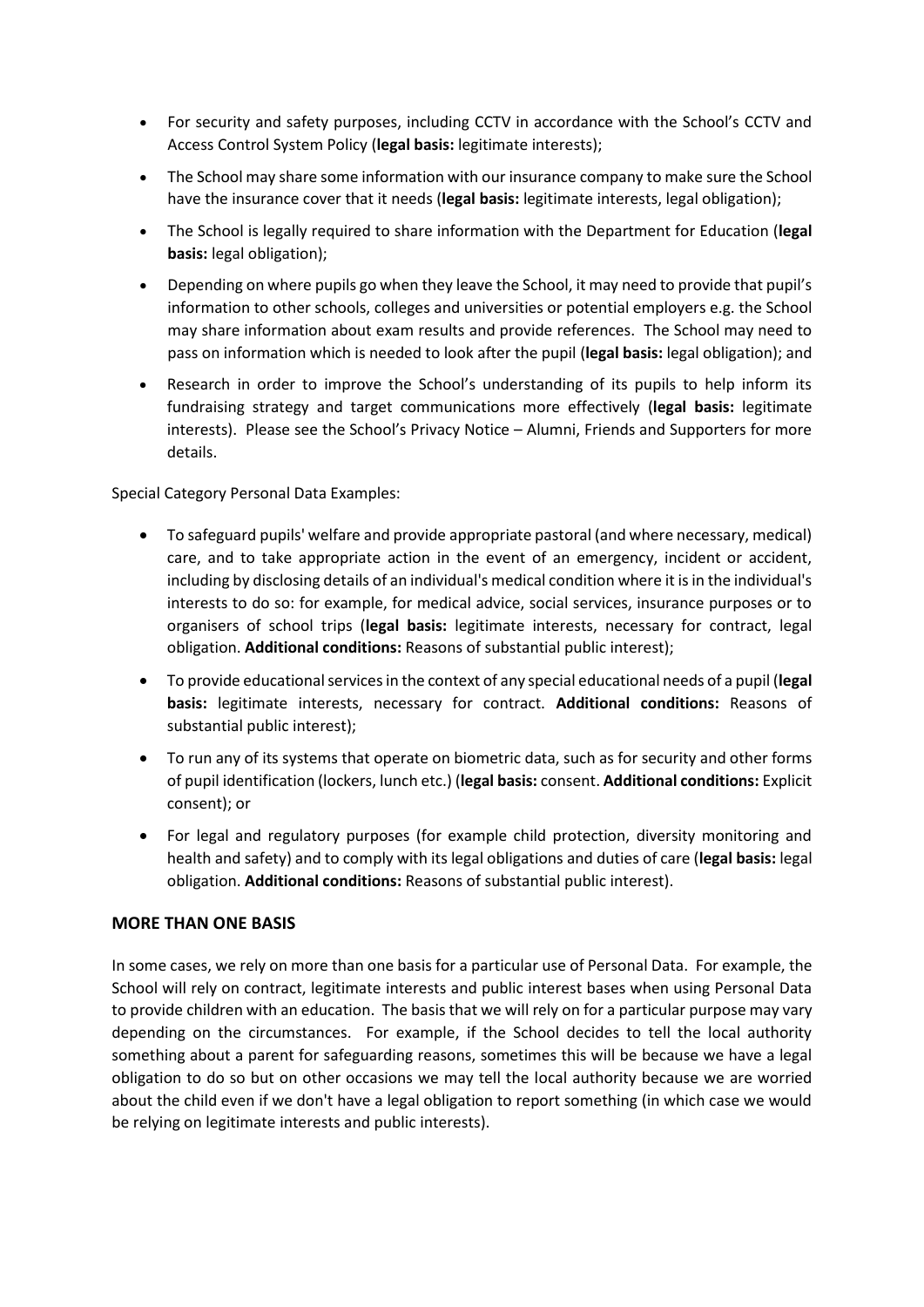- For security and safety purposes, including CCTV in accordance with the School's CCTV and Access Control System Policy (**legal basis:** legitimate interests);
- The School may share some information with our insurance company to make sure the School have the insurance cover that it needs (**legal basis:** legitimate interests, legal obligation);
- The School is legally required to share information with the Department for Education (**legal basis:** legal obligation);
- Depending on where pupils go when they leave the School, it may need to provide that pupil's information to other schools, colleges and universities or potential employers e.g. the School may share information about exam results and provide references. The School may need to pass on information which is needed to look after the pupil (**legal basis:** legal obligation); and
- Research in order to improve the School's understanding of its pupils to help inform its fundraising strategy and target communications more effectively (**legal basis:** legitimate interests). Please see the School's Privacy Notice – Alumni, Friends and Supporters for more details.

Special Category Personal Data Examples:

- To safeguard pupils' welfare and provide appropriate pastoral (and where necessary, medical) care, and to take appropriate action in the event of an emergency, incident or accident, including by disclosing details of an individual's medical condition where it is in the individual's interests to do so: for example, for medical advice, social services, insurance purposes or to organisers of school trips (**legal basis:** legitimate interests, necessary for contract, legal obligation. **Additional conditions:** Reasons of substantial public interest);
- To provide educational services in the context of any special educational needs of a pupil (**legal basis:** legitimate interests, necessary for contract. **Additional conditions:** Reasons of substantial public interest);
- To run any of its systems that operate on biometric data, such as for security and other forms of pupil identification (lockers, lunch etc.) (**legal basis:** consent. **Additional conditions:** Explicit consent); or
- For legal and regulatory purposes (for example child protection, diversity monitoring and health and safety) and to comply with its legal obligations and duties of care (**legal basis:** legal obligation. **Additional conditions:** Reasons of substantial public interest).

# **MORE THAN ONE BASIS**

In some cases, we rely on more than one basis for a particular use of Personal Data. For example, the School will rely on contract, legitimate interests and public interest bases when using Personal Data to provide children with an education. The basis that we will rely on for a particular purpose may vary depending on the circumstances. For example, if the School decides to tell the local authority something about a parent for safeguarding reasons, sometimes this will be because we have a legal obligation to do so but on other occasions we may tell the local authority because we are worried about the child even if we don't have a legal obligation to report something (in which case we would be relying on legitimate interests and public interests).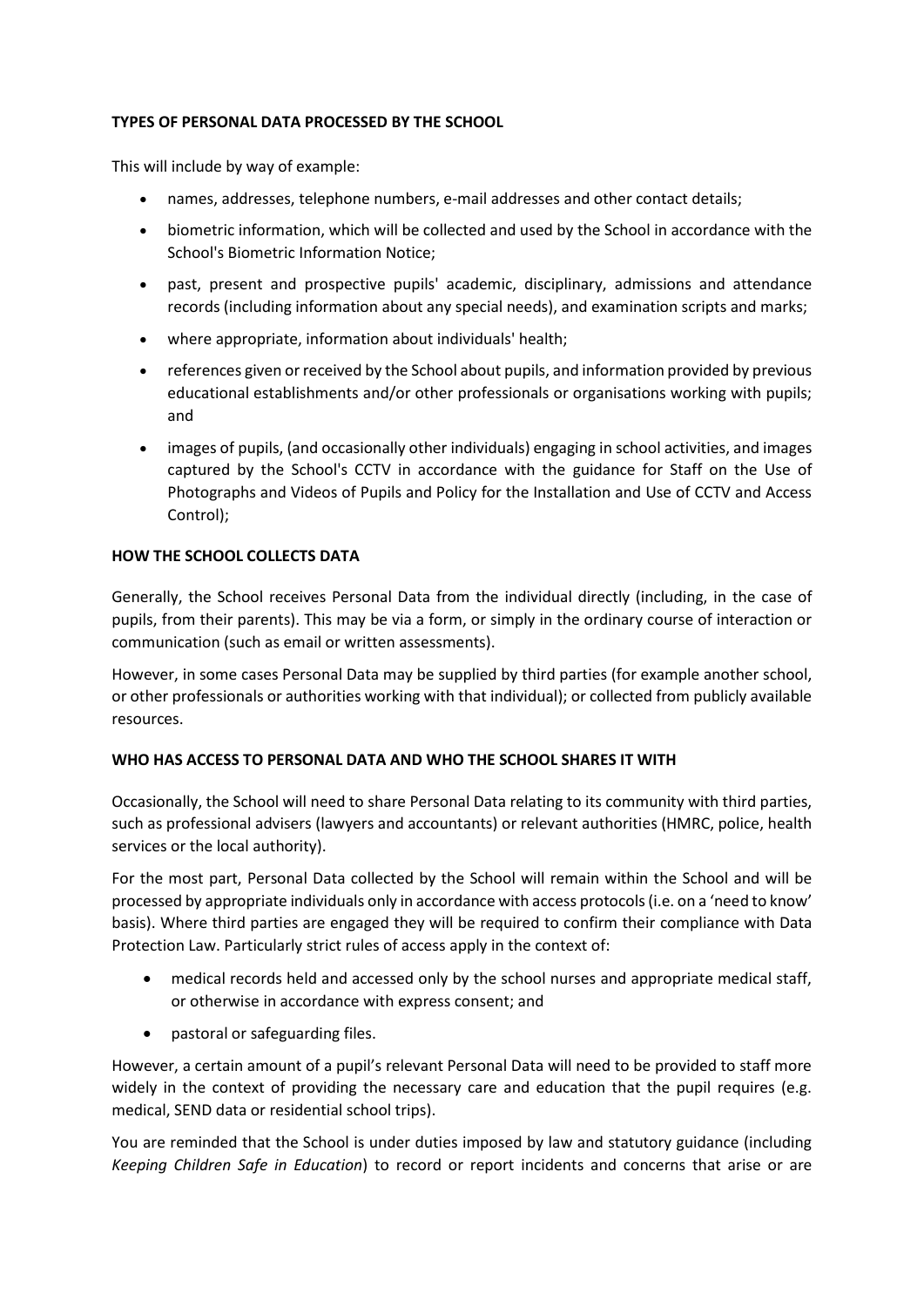# **TYPES OF PERSONAL DATA PROCESSED BY THE SCHOOL**

This will include by way of example:

- names, addresses, telephone numbers, e-mail addresses and other contact details;
- biometric information, which will be collected and used by the School in accordance with the School's Biometric Information Notice;
- past, present and prospective pupils' academic, disciplinary, admissions and attendance records (including information about any special needs), and examination scripts and marks;
- where appropriate, information about individuals' health;
- references given or received by the School about pupils, and information provided by previous educational establishments and/or other professionals or organisations working with pupils; and
- images of pupils, (and occasionally other individuals) engaging in school activities, and images captured by the School's CCTV in accordance with the guidance for Staff on the Use of Photographs and Videos of Pupils and Policy for the Installation and Use of CCTV and Access Control);

# **HOW THE SCHOOL COLLECTS DATA**

Generally, the School receives Personal Data from the individual directly (including, in the case of pupils, from their parents). This may be via a form, or simply in the ordinary course of interaction or communication (such as email or written assessments).

However, in some cases Personal Data may be supplied by third parties (for example another school, or other professionals or authorities working with that individual); or collected from publicly available resources.

### **WHO HAS ACCESS TO PERSONAL DATA AND WHO THE SCHOOL SHARES IT WITH**

Occasionally, the School will need to share Personal Data relating to its community with third parties, such as professional advisers (lawyers and accountants) or relevant authorities (HMRC, police, health services or the local authority).

For the most part, Personal Data collected by the School will remain within the School and will be processed by appropriate individuals only in accordance with access protocols (i.e. on a 'need to know' basis). Where third parties are engaged they will be required to confirm their compliance with Data Protection Law. Particularly strict rules of access apply in the context of:

- medical records held and accessed only by the school nurses and appropriate medical staff, or otherwise in accordance with express consent; and
- pastoral or safeguarding files.

However, a certain amount of a pupil's relevant Personal Data will need to be provided to staff more widely in the context of providing the necessary care and education that the pupil requires (e.g. medical, SEND data or residential school trips).

You are reminded that the School is under duties imposed by law and statutory guidance (including *[Keeping Children Safe in Education](https://www.gov.uk/government/publications/keeping-children-safe-in-education--2)*) to record or report incidents and concerns that arise or are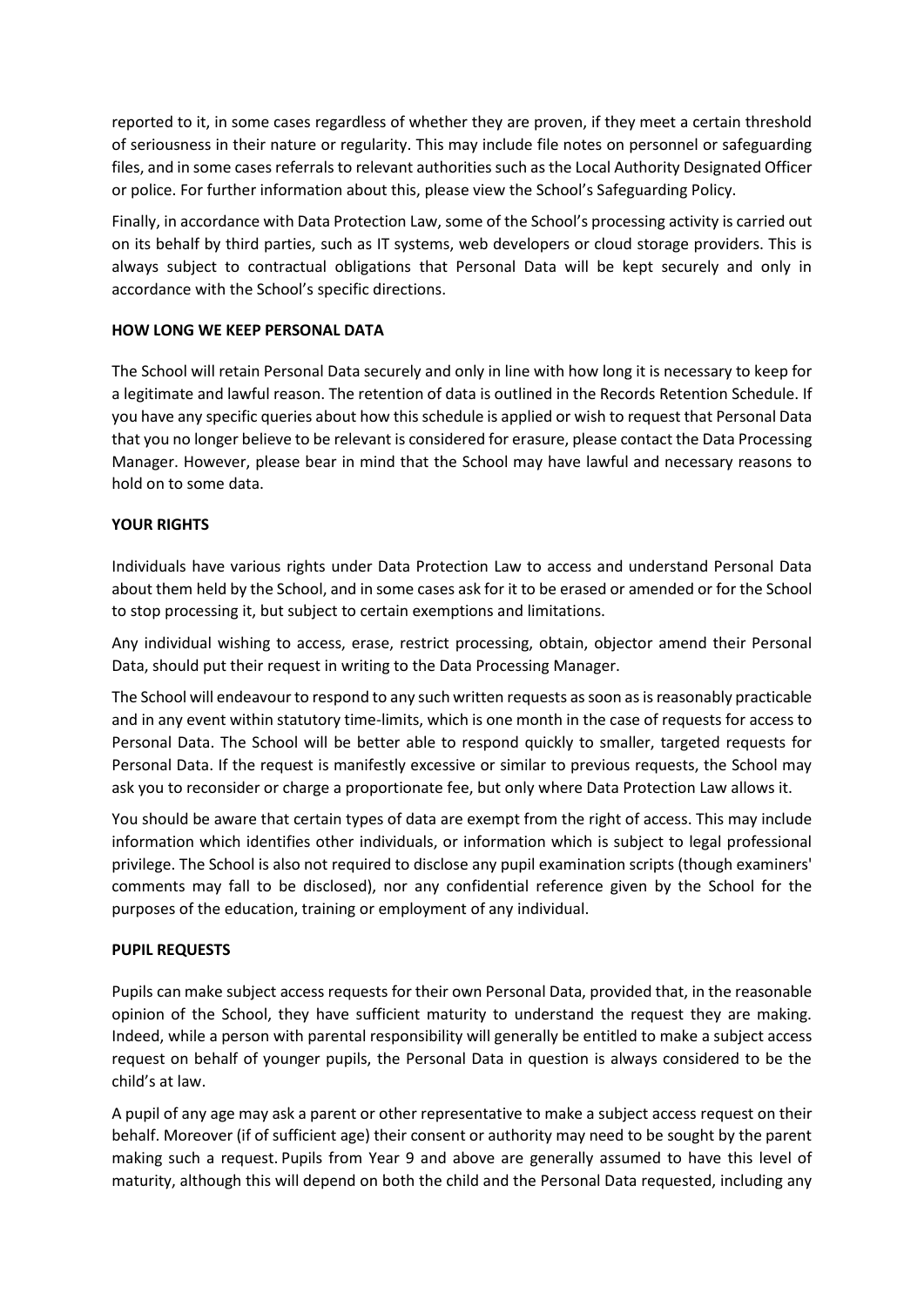reported to it, in some cases regardless of whether they are proven, if they meet a certain threshold of seriousness in their nature or regularity. This may include file notes on personnel or safeguarding files, and in some cases referrals to relevant authorities such as the Local Authority Designated Officer or police. For further information about this, please view the School's Safeguarding Policy.

Finally, in accordance with Data Protection Law, some of the School's processing activity is carried out on its behalf by third parties, such as IT systems, web developers or cloud storage providers. This is always subject to contractual obligations that Personal Data will be kept securely and only in accordance with the School's specific directions.

# **HOW LONG WE KEEP PERSONAL DATA**

The School will retain Personal Data securely and only in line with how long it is necessary to keep for a legitimate and lawful reason. The retention of data is outlined in the Records Retention Schedule. If you have any specific queries about how this schedule is applied or wish to request that Personal Data that you no longer believe to be relevant is considered for erasure, please contact the Data Processing Manager. However, please bear in mind that the School may have lawful and necessary reasons to hold on to some data.

# **YOUR RIGHTS**

Individuals have various rights under Data Protection Law to access and understand Personal Data about them held by the School, and in some cases ask for it to be erased or amended or for the School to stop processing it, but subject to certain exemptions and limitations.

Any individual wishing to access, erase, restrict processing, obtain, objector amend their Personal Data, should put their request in writing to the Data Processing Manager.

The School will endeavour to respond to any such written requests as soon as is reasonably practicable and in any event within statutory time-limits, which is one month in the case of requests for access to Personal Data. The School will be better able to respond quickly to smaller, targeted requests for Personal Data. If the request is manifestly excessive or similar to previous requests, the School may ask you to reconsider or charge a proportionate fee, but only where Data Protection Law allows it.

You should be aware that certain types of data are exempt from the right of access. This may include information which identifies other individuals, or information which is subject to legal professional privilege. The School is also not required to disclose any pupil examination scripts (though examiners' comments may fall to be disclosed), nor any confidential reference given by the School for the purposes of the education, training or employment of any individual.

### **PUPIL REQUESTS**

Pupils can make subject access requests for their own Personal Data, provided that, in the reasonable opinion of the School, they have sufficient maturity to understand the request they are making. Indeed, while a person with parental responsibility will generally be entitled to make a subject access request on behalf of younger pupils, the Personal Data in question is always considered to be the child's at law.

A pupil of any age may ask a parent or other representative to make a subject access request on their behalf. Moreover (if of sufficient age) their consent or authority may need to be sought by the parent making such a request. Pupils from Year 9 and above are generally assumed to have this level of maturity, although this will depend on both the child and the Personal Data requested, including any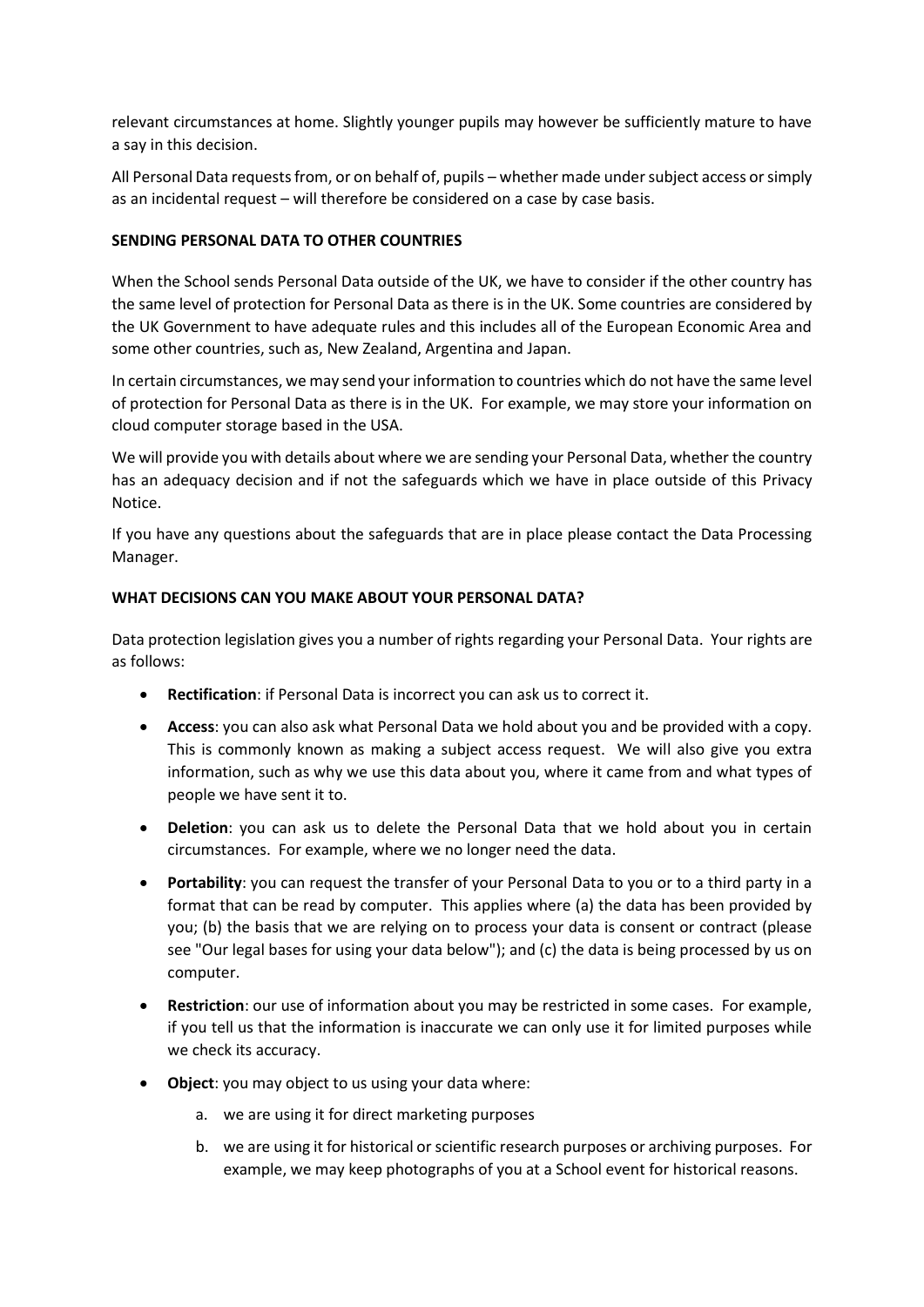relevant circumstances at home. Slightly younger pupils may however be sufficiently mature to have a say in this decision.

All Personal Data requests from, or on behalf of, pupils – whether made under subject access or simply as an incidental request – will therefore be considered on a case by case basis.

### **SENDING PERSONAL DATA TO OTHER COUNTRIES**

When the School sends Personal Data outside of the UK, we have to consider if the other country has the same level of protection for Personal Data as there is in the UK. Some countries are considered by the UK Government to have adequate rules and this includes all of the European Economic Area and some other countries, such as, New Zealand, Argentina and Japan.

In certain circumstances, we may send your information to countries which do not have the same level of protection for Personal Data as there is in the UK. For example, we may store your information on cloud computer storage based in the USA.

We will provide you with details about where we are sending your Personal Data, whether the country has an adequacy decision and if not the safeguards which we have in place outside of this Privacy Notice.

If you have any questions about the safeguards that are in place please contact the Data Processing Manager.

# **WHAT DECISIONS CAN YOU MAKE ABOUT YOUR PERSONAL DATA?**

Data protection legislation gives you a number of rights regarding your Personal Data. Your rights are as follows:

- **Rectification**: if Personal Data is incorrect you can ask us to correct it.
- **Access**: you can also ask what Personal Data we hold about you and be provided with a copy. This is commonly known as making a subject access request. We will also give you extra information, such as why we use this data about you, where it came from and what types of people we have sent it to.
- **Deletion**: you can ask us to delete the Personal Data that we hold about you in certain circumstances. For example, where we no longer need the data.
- **Portability**: you can request the transfer of your Personal Data to you or to a third party in a format that can be read by computer. This applies where (a) the data has been provided by you; (b) the basis that we are relying on to process your data is consent or contract (please see "Our legal bases for using your data below"); and (c) the data is being processed by us on computer.
- **Restriction**: our use of information about you may be restricted in some cases. For example, if you tell us that the information is inaccurate we can only use it for limited purposes while we check its accuracy.
- **Object**: you may object to us using your data where:
	- a. we are using it for direct marketing purposes
	- b. we are using it for historical or scientific research purposes or archiving purposes. For example, we may keep photographs of you at a School event for historical reasons.